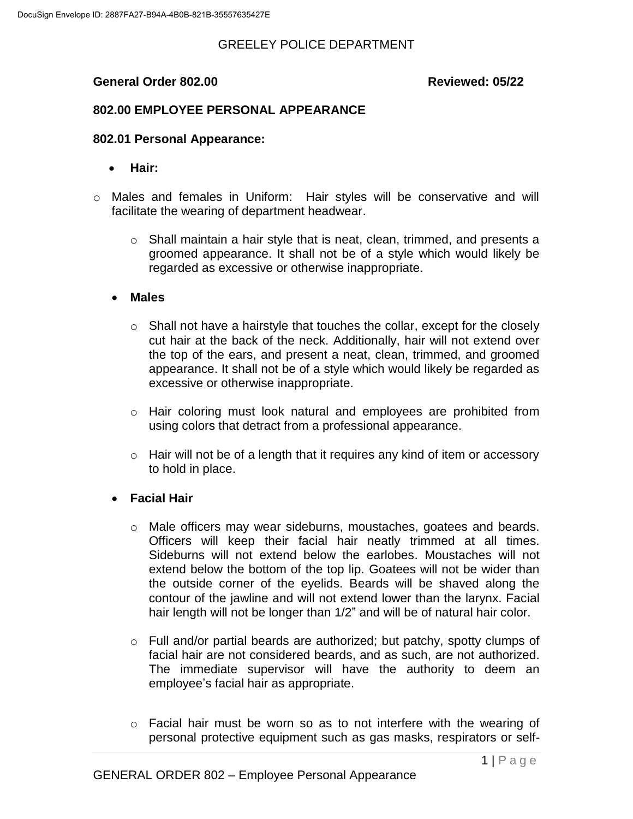### **General Order 802.00 Reviewed: 05/22**

# **802.00 EMPLOYEE PERSONAL APPEARANCE**

#### **802.01 Personal Appearance:**

- **Hair:**
- o Males and females in Uniform: Hair styles will be conservative and will facilitate the wearing of department headwear.
	- $\circ$  Shall maintain a hair style that is neat, clean, trimmed, and presents a groomed appearance. It shall not be of a style which would likely be regarded as excessive or otherwise inappropriate.
	- **Males**
		- o Shall not have a hairstyle that touches the collar, except for the closely cut hair at the back of the neck. Additionally, hair will not extend over the top of the ears, and present a neat, clean, trimmed, and groomed appearance. It shall not be of a style which would likely be regarded as excessive or otherwise inappropriate.
		- o Hair coloring must look natural and employees are prohibited from using colors that detract from a professional appearance.
		- o Hair will not be of a length that it requires any kind of item or accessory to hold in place.

### **Facial Hair**

- o Male officers may wear sideburns, moustaches, goatees and beards. Officers will keep their facial hair neatly trimmed at all times. Sideburns will not extend below the earlobes. Moustaches will not extend below the bottom of the top lip. Goatees will not be wider than the outside corner of the eyelids. Beards will be shaved along the contour of the jawline and will not extend lower than the larynx. Facial hair length will not be longer than 1/2" and will be of natural hair color.
- o Full and/or partial beards are authorized; but patchy, spotty clumps of facial hair are not considered beards, and as such, are not authorized. The immediate supervisor will have the authority to deem an employee's facial hair as appropriate.
- $\circ$  Facial hair must be worn so as to not interfere with the wearing of personal protective equipment such as gas masks, respirators or self-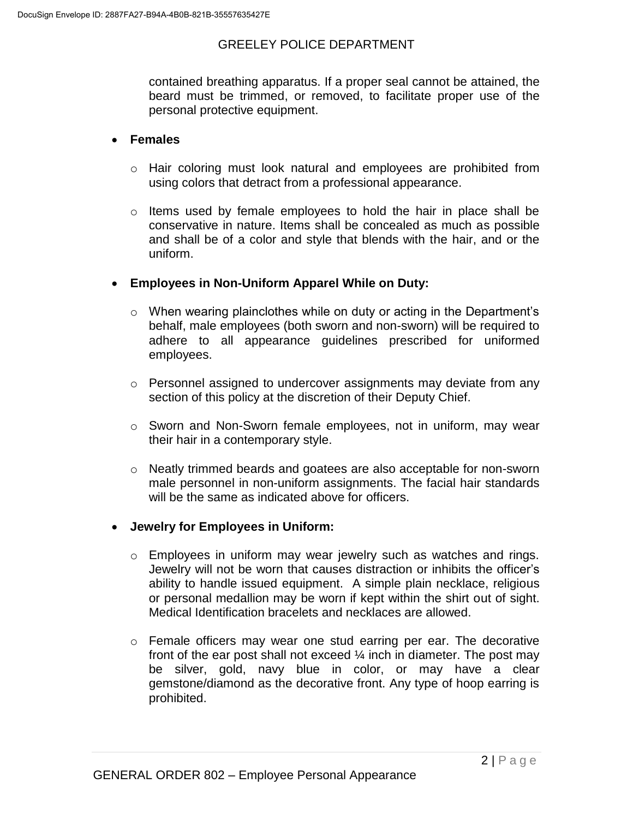contained breathing apparatus. If a proper seal cannot be attained, the beard must be trimmed, or removed, to facilitate proper use of the personal protective equipment.

#### **Females**

- o Hair coloring must look natural and employees are prohibited from using colors that detract from a professional appearance.
- o Items used by female employees to hold the hair in place shall be conservative in nature. Items shall be concealed as much as possible and shall be of a color and style that blends with the hair, and or the uniform.

### **Employees in Non-Uniform Apparel While on Duty:**

- o When wearing plainclothes while on duty or acting in the Department's behalf, male employees (both sworn and non-sworn) will be required to adhere to all appearance guidelines prescribed for uniformed employees.
- $\circ$  Personnel assigned to undercover assignments may deviate from any section of this policy at the discretion of their Deputy Chief.
- o Sworn and Non-Sworn female employees, not in uniform, may wear their hair in a contemporary style.
- o Neatly trimmed beards and goatees are also acceptable for non-sworn male personnel in non-uniform assignments. The facial hair standards will be the same as indicated above for officers.

### **Jewelry for Employees in Uniform:**

- o Employees in uniform may wear jewelry such as watches and rings. Jewelry will not be worn that causes distraction or inhibits the officer's ability to handle issued equipment. A simple plain necklace, religious or personal medallion may be worn if kept within the shirt out of sight. Medical Identification bracelets and necklaces are allowed.
- o Female officers may wear one stud earring per ear. The decorative front of the ear post shall not exceed ¼ inch in diameter. The post may be silver, gold, navy blue in color, or may have a clear gemstone/diamond as the decorative front. Any type of hoop earring is prohibited.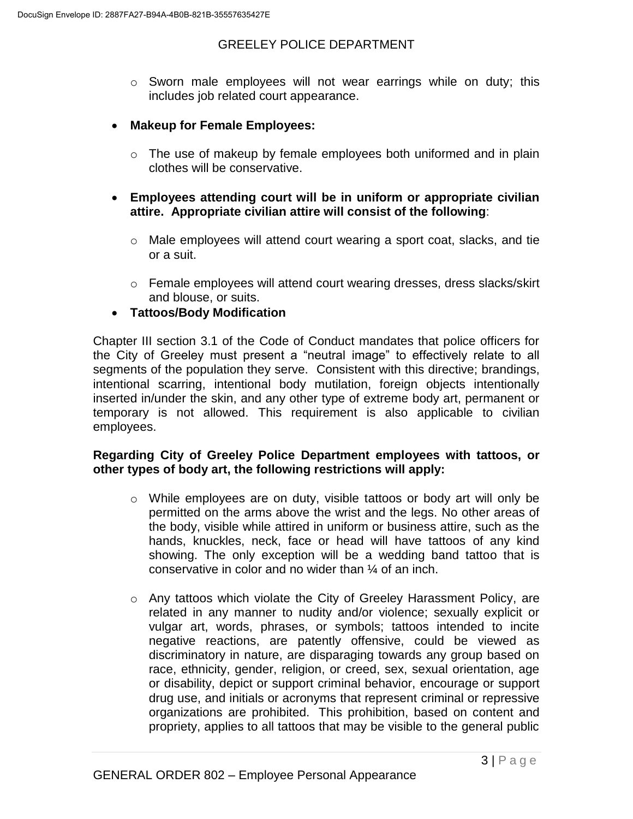- $\circ$  Sworn male employees will not wear earrings while on duty; this includes job related court appearance.
- **Makeup for Female Employees:** 
	- o The use of makeup by female employees both uniformed and in plain clothes will be conservative.
- **Employees attending court will be in uniform or appropriate civilian attire. Appropriate civilian attire will consist of the following**:
	- $\circ$  Male employees will attend court wearing a sport coat, slacks, and tie or a suit.
	- $\circ$  Female employees will attend court wearing dresses, dress slacks/skirt and blouse, or suits.
- **Tattoos/Body Modification**

Chapter III section 3.1 of the Code of Conduct mandates that police officers for the City of Greeley must present a "neutral image" to effectively relate to all segments of the population they serve. Consistent with this directive; brandings, intentional scarring, intentional body mutilation, foreign objects intentionally inserted in/under the skin, and any other type of extreme body art, permanent or temporary is not allowed. This requirement is also applicable to civilian employees.

### **Regarding City of Greeley Police Department employees with tattoos, or other types of body art, the following restrictions will apply:**

- $\circ$  While employees are on duty, visible tattoos or body art will only be permitted on the arms above the wrist and the legs. No other areas of the body, visible while attired in uniform or business attire, such as the hands, knuckles, neck, face or head will have tattoos of any kind showing. The only exception will be a wedding band tattoo that is conservative in color and no wider than ¼ of an inch.
- o Any tattoos which violate the City of Greeley Harassment Policy, are related in any manner to nudity and/or violence; sexually explicit or vulgar art, words, phrases, or symbols; tattoos intended to incite negative reactions, are patently offensive, could be viewed as discriminatory in nature, are disparaging towards any group based on race, ethnicity, gender, religion, or creed, sex, sexual orientation, age or disability, depict or support criminal behavior, encourage or support drug use, and initials or acronyms that represent criminal or repressive organizations are prohibited. This prohibition, based on content and propriety, applies to all tattoos that may be visible to the general public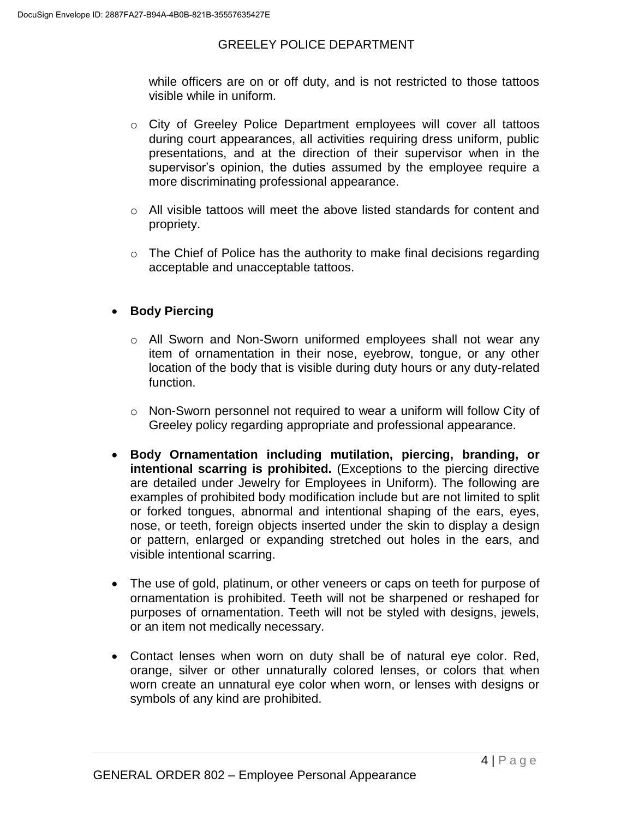while officers are on or off duty, and is not restricted to those tattoos visible while in uniform.

- o City of Greeley Police Department employees will cover all tattoos during court appearances, all activities requiring dress uniform, public presentations, and at the direction of their supervisor when in the supervisor's opinion, the duties assumed by the employee require a more discriminating professional appearance.
- o All visible tattoos will meet the above listed standards for content and propriety.
- $\circ$  The Chief of Police has the authority to make final decisions regarding acceptable and unacceptable tattoos.

# **•** Body Piercing

- o All Sworn and Non-Sworn uniformed employees shall not wear any item of ornamentation in their nose, eyebrow, tongue, or any other location of the body that is visible during duty hours or any duty-related function.
- o Non-Sworn personnel not required to wear a uniform will follow City of Greeley policy regarding appropriate and professional appearance.
- **Body Ornamentation including mutilation, piercing, branding, or intentional scarring is prohibited.** (Exceptions to the piercing directive are detailed under Jewelry for Employees in Uniform). The following are examples of prohibited body modification include but are not limited to split or forked tongues, abnormal and intentional shaping of the ears, eyes, nose, or teeth, foreign objects inserted under the skin to display a design or pattern, enlarged or expanding stretched out holes in the ears, and visible intentional scarring.
- The use of gold, platinum, or other veneers or caps on teeth for purpose of ornamentation is prohibited. Teeth will not be sharpened or reshaped for purposes of ornamentation. Teeth will not be styled with designs, jewels, or an item not medically necessary.
- Contact lenses when worn on duty shall be of natural eye color. Red, orange, silver or other unnaturally colored lenses, or colors that when worn create an unnatural eye color when worn, or lenses with designs or symbols of any kind are prohibited.